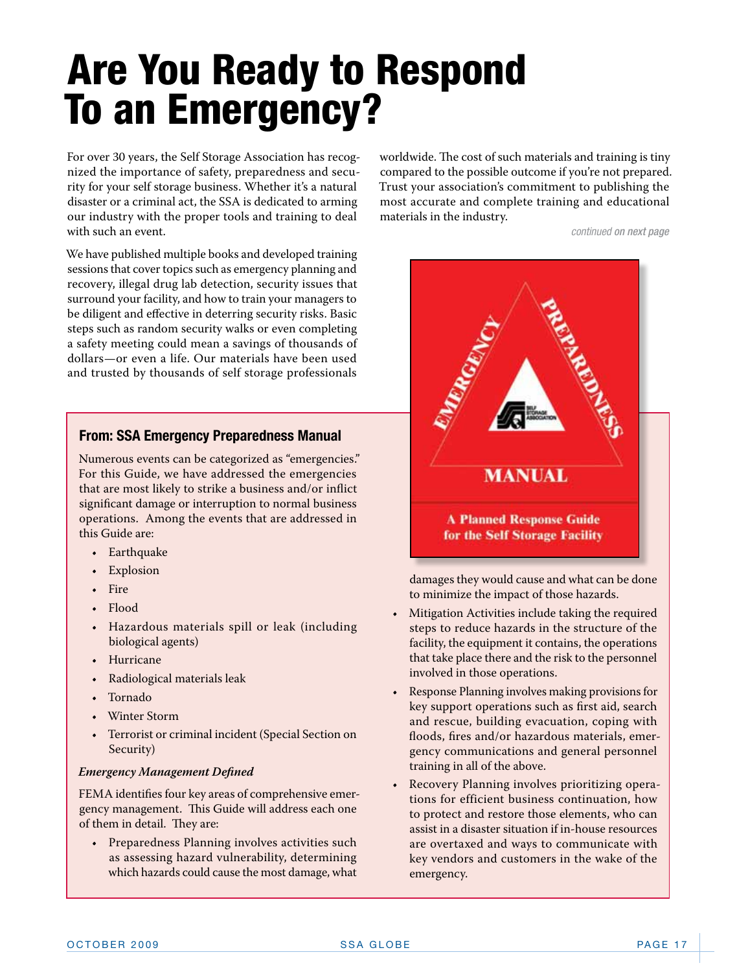# Are You Ready to Respond To an Emergency?

For over 30 years, the Self Storage Association has recognized the importance of safety, preparedness and security for your self storage business. Whether it's a natural disaster or a criminal act, the SSA is dedicated to arming our industry with the proper tools and training to deal with such an event.

We have published multiple books and developed training sessions that cover topics such as emergency planning and recovery, illegal drug lab detection, security issues that surround your facility, and how to train your managers to be diligent and effective in deterring security risks. Basic steps such as random security walks or even completing a safety meeting could mean a savings of thousands of dollars—or even a life. Our materials have been used and trusted by thousands of self storage professionals

## **[From: SSA Emergency Preparedness Manual](http://www.selfstorage.org/SSA/Online_Store/Core/Orders/product.aspx?catid=9&prodid=5)**

Numerous events can be categorized as "emergencies." For this Guide, we have addressed the emergencies that are most likely to strike a business and/or inflict significant damage or interruption to normal business operations. Among the events that are addressed in this Guide are:

- • Earthquake
- **Explosion**
- • Fire
- • Flood
- • Hazardous materials spill or leak (including biological agents)
- • Hurricane
- Radiological materials leak
- • Tornado
- **Winter Storm**
- Terrorist or criminal incident (Special Section on Security)

#### *Emergency Management Defined*

FEMA identifies four key areas of comprehensive emergency management. This Guide will address each one of them in detail. They are:

• Preparedness Planning involves activities such as assessing hazard vulnerability, determining which hazards could cause the most damage, what worldwide. The cost of such materials and training is tiny compared to the possible outcome if you're not prepared. Trust your association's commitment to publishing the most accurate and complete training and educational materials in the industry.

*continued on next page*



damages they would cause and what can be done to minimize the impact of those hazards.

- Mitigation Activities include taking the required steps to reduce hazards in the structure of the facility, the equipment it contains, the operations that take place there and the risk to the personnel involved in those operations.
- Response Planning involves making provisions for key support operations such as first aid, search and rescue, building evacuation, coping with floods, fires and/or hazardous materials, emergency communications and general personnel training in all of the above.
- Recovery Planning involves prioritizing operations for efficient business continuation, how to protect and restore those elements, who can assist in a disaster situation if in-house resources are overtaxed and ways to communicate with key vendors and customers in the wake of the emergency.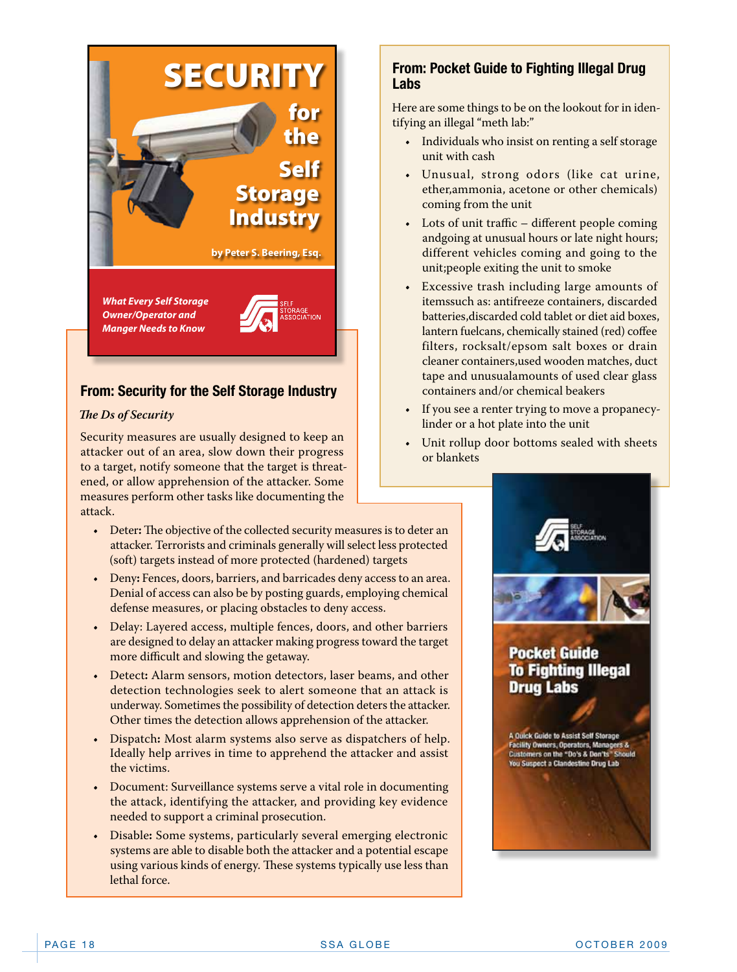

# **From: Security for the Self Storage Industry**

#### *The Ds of Security*

Security measures are usually designed to keep an attacker out of an area, slow down their progress to a target, notify someone that the target is threatened, or allow apprehension of the attacker. Some measures perform other tasks like documenting the attack.

- Deter: The objective of the collected security measures is to deter an attacker. Terrorists and criminals generally will select less protected (soft) targets instead of more protected (hardened) targets
- • Deny**:** Fences, doors, barriers, and barricades deny access to an area. Denial of access can also be by posting guards, employing chemical defense measures, or placing obstacles to deny access.
- Delay: Layered access, multiple fences, doors, and other barriers are designed to delay an attacker making progress toward the target more difficult and slowing the getaway.
- • Detect**:** Alarm sensors, motion detectors, laser beams, and other detection technologies seek to alert someone that an attack is underway. Sometimes the possibility of detection deters the attacker. Other times the detection allows apprehension of the attacker.
- • Dispatch**:** Most alarm systems also serve as dispatchers of help. Ideally help arrives in time to apprehend the attacker and assist the victims.
- Document: Surveillance systems serve a vital role in documenting the attack, identifying the attacker, and providing key evidence needed to support a criminal prosecution.
- • Disable**:** Some systems, particularly several emerging electronic systems are able to disable both the attacker and a potential escape using various kinds of energy. These systems typically use less than lethal force.

## **From: Pocket Guide to Fighting Illegal Drug Labs**

Here are some things to be on the lookout for in identifying an illegal "meth lab:"

- Individuals who insist on renting a self storage unit with cash
- • Unusual, strong odors (like cat urine, ether,ammonia, acetone or other chemicals) coming from the unit
- $\cdot$  Lots of unit traffic different people coming andgoing at unusual hours or late night hours; different vehicles coming and going to the unit;people exiting the unit to smoke
- • Excessive trash including large amounts of itemssuch as: antifreeze containers, discarded batteries,discarded cold tablet or diet aid boxes, lantern fuelcans, chemically stained (red) coffee filters, rocksalt/epsom salt boxes or drain cleaner containers,used wooden matches, duct tape and unusualamounts of used clear glass containers and/or chemical beakers
- If you see a renter trying to move a propanecylinder or a hot plate into the unit
- • Unit rollup door bottoms sealed with sheets or blankets